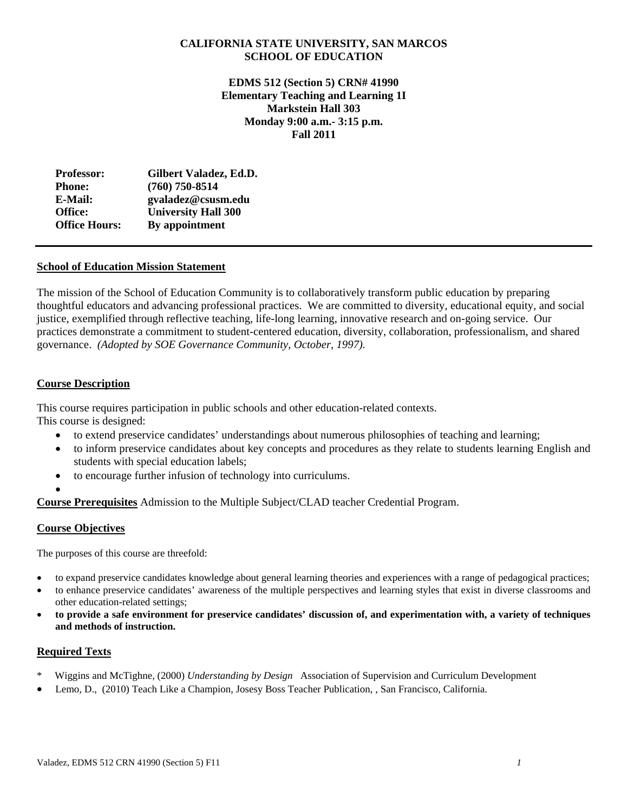## **CALIFORNIA STATE UNIVERSITY, SAN MARCOS SCHOOL OF EDUCATION**

 **Monday 9:00 a.m.- 3:15 p.m. EDMS 512 (Section 5) CRN# 41990 Elementary Teaching and Learning 1I Markstein Hall 303 Fall 2011**

| <b>Professor:</b>    | Gilbert Valadez, Ed.D.     |
|----------------------|----------------------------|
| <b>Phone:</b>        | $(760)$ 750-8514           |
| E-Mail:              | gvaladez@csusm.edu         |
| Office:              | <b>University Hall 300</b> |
| <b>Office Hours:</b> | By appointment             |

## **School of Education Mission Statement**

The mission of the School of Education Community is to collaboratively transform public education by preparing thoughtful educators and advancing professional practices. We are committed to diversity, educational equity, and social justice, exemplified through reflective teaching, life-long learning, innovative research and on-going service. Our practices demonstrate a commitment to student-centered education, diversity, collaboration, professionalism, and shared governance. *(Adopted by SOE Governance Community, October, 1997).* 

## **Course Description**

This course requires participation in public schools and other education-related contexts. This course is designed:

- to extend preservice candidates' understandings about numerous philosophies of teaching and learning;
- to inform preservice candidates about key concepts and procedures as they relate to students learning English and students with special education labels;
- to encourage further infusion of technology into curriculums.
- $\bullet$

**Course Prerequisites** Admission to the Multiple Subject/CLAD teacher Credential Program.

## **Course Objectives**

The purposes of this course are threefold:

- to expand preservice candidates knowledge about general learning theories and experiences with a range of pedagogical practices;
- to enhance preservice candidates' awareness of the multiple perspectives and learning styles that exist in diverse classrooms and other education-related settings;
- **to provide a safe environment for preservice candidates' discussion of, and experimentation with, a variety of techniques and methods of instruction.**

## **Required Texts**

- \* Wiggins and McTighne, (2000) *Understanding by Design* Association of Supervision and Curriculum Development
- Lemo, D., (2010) Teach Like a Champion, Josesy Boss Teacher Publication, , San Francisco, California.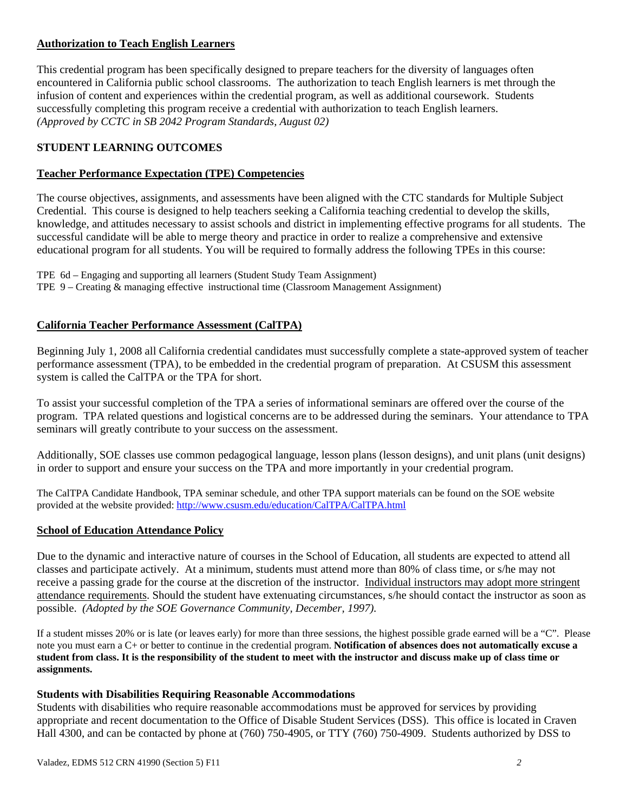## **Authorization to Teach English Learners**

This credential program has been specifically designed to prepare teachers for the diversity of languages often encountered in California public school classrooms. The authorization to teach English learners is met through the infusion of content and experiences within the credential program, as well as additional coursework. Students successfully completing this program receive a credential with authorization to teach English learners. *(Approved by CCTC in SB 2042 Program Standards, August 02)* 

## **STUDENT LEARNING OUTCOMES**

## **Teacher Performance Expectation (TPE) Competencies**

The course objectives, assignments, and assessments have been aligned with the CTC standards for Multiple Subject Credential. This course is designed to help teachers seeking a California teaching credential to develop the skills, knowledge, and attitudes necessary to assist schools and district in implementing effective programs for all students. The successful candidate will be able to merge theory and practice in order to realize a comprehensive and extensive educational program for all students. You will be required to formally address the following TPEs in this course:

 TPE 6d – Engaging and supporting all learners (Student Study Team Assignment) TPE 9 – Creating & managing effective instructional time (Classroom Management Assignment)

## **California Teacher Performance Assessment (CalTPA)**

Beginning July 1, 2008 all California credential candidates must successfully complete a state-approved system of teacher performance assessment (TPA), to be embedded in the credential program of preparation. At CSUSM this assessment system is called the CalTPA or the TPA for short.

seminars will greatly contribute to your success on the assessment. To assist your successful completion of the TPA a series of informational seminars are offered over the course of the program. TPA related questions and logistical concerns are to be addressed during the seminars. Your attendance to TPA

Additionally, SOE classes use common pedagogical language, lesson plans (lesson designs), and unit plans (unit designs) in order to support and ensure your success on the TPA and more importantly in your credential program.

The CalTPA Candidate Handbook, TPA seminar schedule, and other TPA support materials can be found on the SOE website provided at the website provided: http://www.csusm.edu/education/CalTPA/CalTPA.html

## **School of Education Attendance Policy**

 possible. *(Adopted by the SOE Governance Community, December, 1997).* Due to the dynamic and interactive nature of courses in the School of Education, all students are expected to attend all classes and participate actively. At a minimum, students must attend more than 80% of class time, or s/he may not receive a passing grade for the course at the discretion of the instructor. Individual instructors may adopt more stringent attendance requirements. Should the student have extenuating circumstances, s/he should contact the instructor as soon as

 If a student misses 20% or is late (or leaves early) for more than three sessions, the highest possible grade earned will be a "C". Please note you must earn a C+ or better to continue in the credential program. **Notification of absences does not automatically excuse a student from class. It is the responsibility of the student to meet with the instructor and discuss make up of class time or assignments.** 

## **Students with Disabilities Requiring Reasonable Accommodations**

Students with disabilities who require reasonable accommodations must be approved for services by providing appropriate and recent documentation to the Office of Disable Student Services (DSS). This office is located in Craven Hall 4300, and can be contacted by phone at (760) 750-4905, or TTY (760) 750-4909. Students authorized by DSS to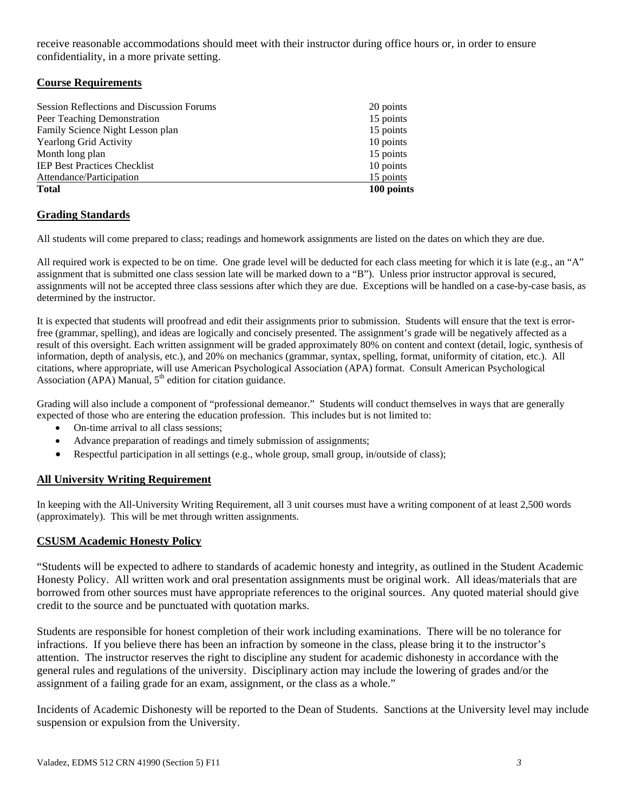receive reasonable accommodations should meet with their instructor during office hours or, in order to ensure confidentiality, in a more private setting.

## **Course Requirements**

| <b>Session Reflections and Discussion Forums</b> | 20 points  |
|--------------------------------------------------|------------|
| Peer Teaching Demonstration                      | 15 points  |
| Family Science Night Lesson plan                 | 15 points  |
| <b>Yearlong Grid Activity</b>                    | 10 points  |
| Month long plan                                  | 15 points  |
| <b>IEP Best Practices Checklist</b>              | 10 points  |
| Attendance/Participation                         | 15 points  |
| <b>Total</b>                                     | 100 points |

## **Grading Standards**

All students will come prepared to class; readings and homework assignments are listed on the dates on which they are due.

All required work is expected to be on time. One grade level will be deducted for each class meeting for which it is late (e.g., an "A" assignment that is submitted one class session late will be marked down to a "B"). Unless prior instructor approval is secured, assignments will not be accepted three class sessions after which they are due. Exceptions will be handled on a case-by-case basis, as determined by the instructor.

 It is expected that students will proofread and edit their assignments prior to submission. Students will ensure that the text is error- information, depth of analysis, etc.), and 20% on mechanics (grammar, syntax, spelling, format, uniformity of citation, etc.). All free (grammar, spelling), and ideas are logically and concisely presented. The assignment's grade will be negatively affected as a result of this oversight. Each written assignment will be graded approximately 80% on content and context (detail, logic, synthesis of citations, where appropriate, will use American Psychological Association (APA) format. Consult American Psychological Association (APA) Manual,  $5<sup>th</sup>$  edition for citation guidance.

Grading will also include a component of "professional demeanor." Students will conduct themselves in ways that are generally expected of those who are entering the education profession. This includes but is not limited to:

- On-time arrival to all class sessions:
- Advance preparation of readings and timely submission of assignments;
- Respectful participation in all settings (e.g., whole group, small group, in/outside of class);

## **All University Writing Requirement**

 (approximately). This will be met through written assignments. In keeping with the All-University Writing Requirement, all 3 unit courses must have a writing component of at least 2,500 words

## **CSUSM Academic Honesty Policy**

"Students will be expected to adhere to standards of academic honesty and integrity, as outlined in the Student Academic Honesty Policy. All written work and oral presentation assignments must be original work. All ideas/materials that are borrowed from other sources must have appropriate references to the original sources. Any quoted material should give credit to the source and be punctuated with quotation marks.

Students are responsible for honest completion of their work including examinations. There will be no tolerance for infractions. If you believe there has been an infraction by someone in the class, please bring it to the instructor's attention. The instructor reserves the right to discipline any student for academic dishonesty in accordance with the general rules and regulations of the university. Disciplinary action may include the lowering of grades and/or the assignment of a failing grade for an exam, assignment, or the class as a whole."

Incidents of Academic Dishonesty will be reported to the Dean of Students. Sanctions at the University level may include suspension or expulsion from the University.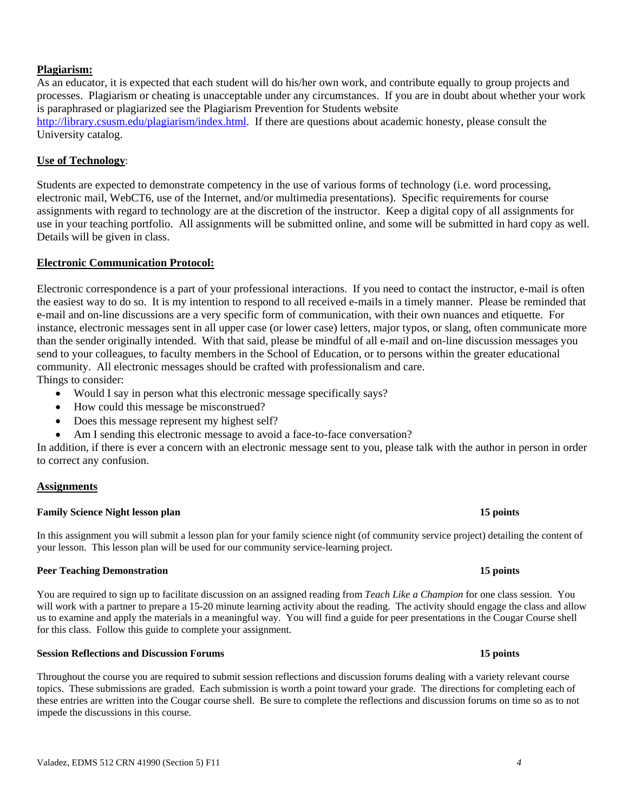### **Plagiarism:**

As an educator, it is expected that each student will do his/her own work, and contribute equally to group projects and processes. Plagiarism or cheating is unacceptable under any circumstances. If you are in doubt about whether your work is paraphrased or plagiarized see the Plagiarism Prevention for Students website http://library.csusm.edu/plagiarism/index.html. If there are questions about academic honesty, please consult the University catalog.

### **Use of Technology**:

Students are expected to demonstrate competency in the use of various forms of technology (i.e. word processing, electronic mail, WebCT6, use of the Internet, and/or multimedia presentations). Specific requirements for course assignments with regard to technology are at the discretion of the instructor. Keep a digital copy of all assignments for use in your teaching portfolio. All assignments will be submitted online, and some will be submitted in hard copy as well. Details will be given in class.

### **Electronic Communication Protocol:**

Electronic correspondence is a part of your professional interactions. If you need to contact the instructor, e-mail is often the easiest way to do so. It is my intention to respond to all received e-mails in a timely manner. Please be reminded that e-mail and on-line discussions are a very specific form of communication, with their own nuances and etiquette. For instance, electronic messages sent in all upper case (or lower case) letters, major typos, or slang, often communicate more than the sender originally intended. With that said, please be mindful of all e-mail and on-line discussion messages you send to your colleagues, to faculty members in the School of Education, or to persons within the greater educational community. All electronic messages should be crafted with professionalism and care. Things to consider:

- Would I say in person what this electronic message specifically says?
- How could this message be misconstrued?
- Does this message represent my highest self?
- Am I sending this electronic message to avoid a face-to-face conversation?

In addition, if there is ever a concern with an electronic message sent to you, please talk with the author in person in order to correct any confusion.

### **Assignments**

### **Family Science Night lesson plan 15 points 15 points 15 points**

 your lesson. This lesson plan will be used for our community service-learning project. In this assignment you will submit a lesson plan for your family science night (of community service project) detailing the content of

### **Peer Teaching Demonstration 15 points 15 points in the limit of the set of the limit of the set of the set of the set of the set of the set of the set of the set of the set of the set of the set of the set of the set of t**

 You are required to sign up to facilitate discussion on an assigned reading from *Teach Like a Champion* for one class session. You will work with a partner to prepare a 15-20 minute learning activity about the reading. The activity should engage the class and allow us to examine and apply the materials in a meaningful way. You will find a guide for peer presentations in the Cougar Course shell for this class. Follow this guide to complete your assignment.

# **Session Reflections and Discussion Forums 15 points**

 these entries are written into the Cougar course shell. Be sure to complete the reflections and discussion forums on time so as to not Throughout the course you are required to submit session reflections and discussion forums dealing with a variety relevant course topics. These submissions are graded. Each submission is worth a point toward your grade. The directions for completing each of impede the discussions in this course.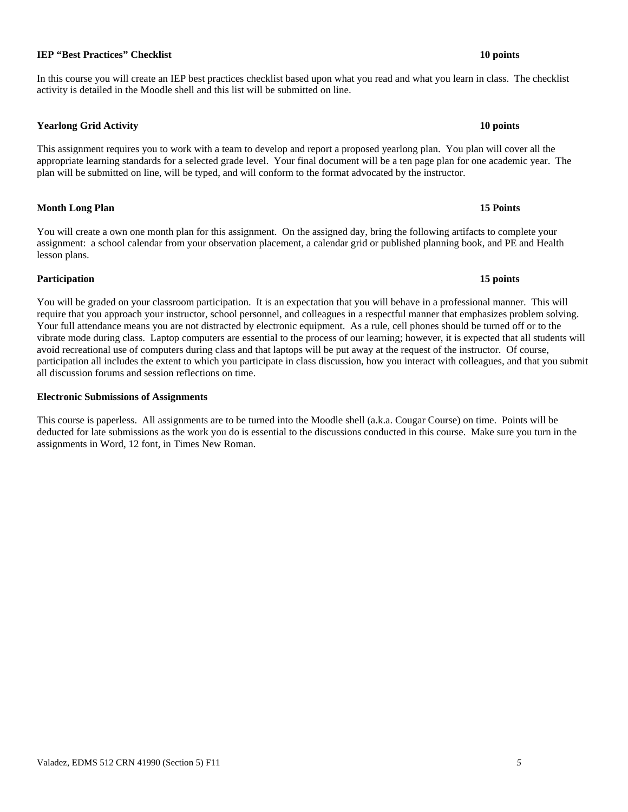## **IEP "Best Practices" Checklist** 10 points **10 points 10 points**

 In this course you will create an IEP best practices checklist based upon what you read and what you learn in class. The checklist activity is detailed in the Moodle shell and this list will be submitted on line.

## **Yearlong Grid Activity 10 points**

This assignment requires you to work with a team to develop and report a proposed yearlong plan. You plan will cover all the appropriate learning standards for a selected grade level. Your final document will be a ten page plan for one academic year. The plan will be submitted on line, will be typed, and will conform to the format advocated by the instructor.

**Month Long Plan 15 Points 15 Points 15 Points** 

 You will create a own one month plan for this assignment. On the assigned day, bring the following artifacts to complete your assignment: a school calendar from your observation placement, a calendar grid or published planning book, and PE and Health lesson plans.

## **Participation 15 points**

 You will be graded on your classroom participation. It is an expectation that you will behave in a professional manner. This will require that you approach your instructor, school personnel, and colleagues in a respectful manner that emphasizes problem solving. participation all includes the extent to which you participate in class discussion, how you interact with colleagues, and that you submit Your full attendance means you are not distracted by electronic equipment. As a rule, cell phones should be turned off or to the vibrate mode during class. Laptop computers are essential to the process of our learning; however, it is expected that all students will avoid recreational use of computers during class and that laptops will be put away at the request of the instructor. Of course, all discussion forums and session reflections on time.

## **Electronic Submissions of Assignments**

 assignments in Word, 12 font, in Times New Roman. This course is paperless. All assignments are to be turned into the Moodle shell (a.k.a. Cougar Course) on time. Points will be deducted for late submissions as the work you do is essential to the discussions conducted in this course. Make sure you turn in the

### 15 points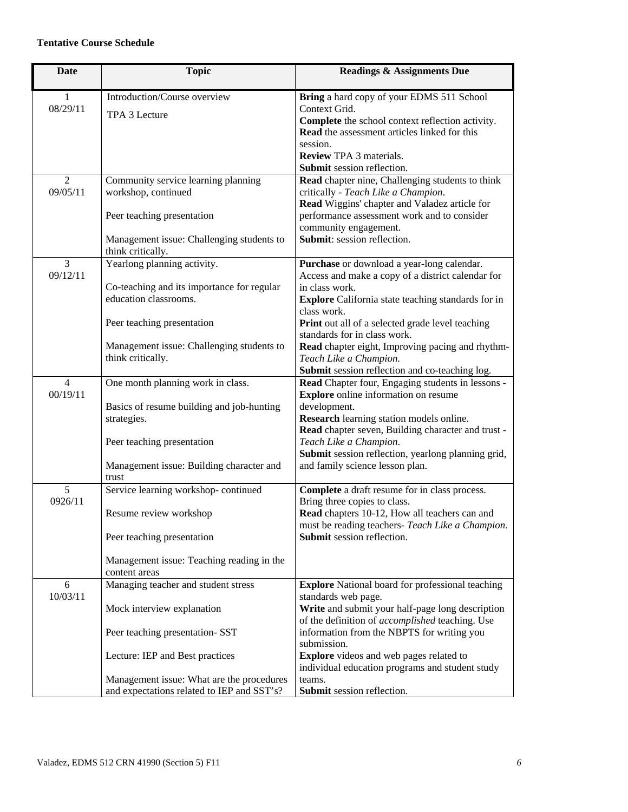## **Tentative Course Schedule**

| <b>Date</b>                | <b>Topic</b>                                                                                       | <b>Readings &amp; Assignments Due</b>                                                                                                                                                                                   |
|----------------------------|----------------------------------------------------------------------------------------------------|-------------------------------------------------------------------------------------------------------------------------------------------------------------------------------------------------------------------------|
| 1<br>08/29/11              | Introduction/Course overview<br>TPA 3 Lecture                                                      | Bring a hard copy of your EDMS 511 School<br>Context Grid.<br>Complete the school context reflection activity.<br>Read the assessment articles linked for this<br>session.<br><b>Review TPA 3 materials.</b>            |
| $\overline{2}$             | Community service learning planning                                                                | Submit session reflection.<br>Read chapter nine, Challenging students to think                                                                                                                                          |
| 09/05/11                   | workshop, continued<br>Peer teaching presentation                                                  | critically - Teach Like a Champion.<br>Read Wiggins' chapter and Valadez article for<br>performance assessment work and to consider                                                                                     |
|                            | Management issue: Challenging students to<br>think critically.                                     | community engagement.<br>Submit: session reflection.                                                                                                                                                                    |
| 3<br>09/12/11              | Yearlong planning activity.<br>Co-teaching and its importance for regular<br>education classrooms. | Purchase or download a year-long calendar.<br>Access and make a copy of a district calendar for<br>in class work.<br><b>Explore</b> California state teaching standards for in                                          |
|                            | Peer teaching presentation                                                                         | class work.<br>Print out all of a selected grade level teaching<br>standards for in class work.                                                                                                                         |
|                            | Management issue: Challenging students to<br>think critically.                                     | Read chapter eight, Improving pacing and rhythm-<br>Teach Like a Champion.<br>Submit session reflection and co-teaching log.                                                                                            |
| $\overline{4}$<br>00/19/11 | One month planning work in class.<br>Basics of resume building and job-hunting<br>strategies.      | Read Chapter four, Engaging students in lessons -<br><b>Explore</b> online information on resume<br>development.<br>Research learning station models online.<br>Read chapter seven, Building character and trust -      |
|                            | Peer teaching presentation<br>Management issue: Building character and                             | Teach Like a Champion.<br>Submit session reflection, yearlong planning grid,<br>and family science lesson plan.                                                                                                         |
| 5                          | trust                                                                                              |                                                                                                                                                                                                                         |
| 0926/11                    | Service learning workshop-continued<br>Resume review workshop<br>Peer teaching presentation        | Complete a draft resume for in class process.<br>Bring three copies to class.<br>Read chapters 10-12, How all teachers can and<br>must be reading teachers- Teach Like a Champion.<br><b>Submit</b> session reflection. |
|                            | Management issue: Teaching reading in the<br>content areas                                         |                                                                                                                                                                                                                         |
| 6                          | Managing teacher and student stress                                                                | <b>Explore</b> National board for professional teaching                                                                                                                                                                 |
| 10/03/11                   | Mock interview explanation<br>Peer teaching presentation- SST                                      | standards web page.<br>Write and submit your half-page long description<br>of the definition of accomplished teaching. Use<br>information from the NBPTS for writing you                                                |
|                            | Lecture: IEP and Best practices                                                                    | submission.<br><b>Explore</b> videos and web pages related to<br>individual education programs and student study                                                                                                        |
|                            | Management issue: What are the procedures<br>and expectations related to IEP and SST's?            | teams.<br>Submit session reflection.                                                                                                                                                                                    |